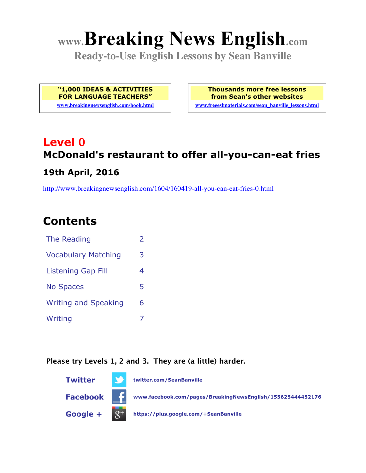# **www.Breaking News English.com**

**Ready-to-Use English Lessons by Sean Banville**

**"1,000 IDEAS & ACTIVITIES FOR LANGUAGE TEACHERS" www.breakingnewsenglish.com/book.html** **Thousands more free lessons from Sean's other websites**

**www.freeeslmaterials.com/sean\_banville\_lessons.html**

### **Level 0 McDonald's restaurant to offer all-you-can-eat fries 19th April, 2016**

http://www.breakingnewsenglish.com/1604/160419-all-you-can-eat-fries-0.html

### **Contents**

| The Reading                 | $\overline{\phantom{a}}$ |
|-----------------------------|--------------------------|
| <b>Vocabulary Matching</b>  | 3                        |
| <b>Listening Gap Fill</b>   | 4                        |
| <b>No Spaces</b>            | 5                        |
| <b>Writing and Speaking</b> | 6                        |
| Writing                     |                          |

#### **Please try Levels 1, 2 and 3. They are (a little) harder.**

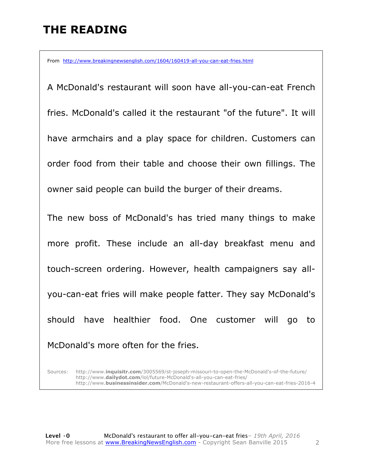## **THE READING**

From http://www.breakingnewsenglish.com/1604/160419-all-you-can-eat-fries.html

A McDonald's restaurant will soon have all-you-can-eat French fries. McDonald's called it the restaurant "of the future". It will have armchairs and a play space for children. Customers can order food from their table and choose their own fillings. The owner said people can build the burger of their dreams. The new boss of McDonald's has tried many things to make

more profit. These include an all-day breakfast menu and touch-screen ordering. However, health campaigners say allyou-can-eat fries will make people fatter. They say McDonald's should have healthier food. One customer will go to

McDonald's more often for the fries.

Sources: http://www.**inquisitr.com**/3005569/st-joseph-missouri-to-open-the-McDonald's-of-the-future/ http://www.**dailydot.com**/lol/future-McDonald's-all-you-can-eat-fries/ http://www.**businessinsider.com**/McDonald's-new-restaurant-offers-all-you-can-eat-fries-2016-4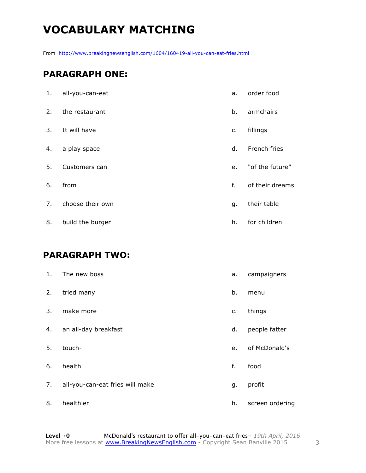# **VOCABULARY MATCHING**

From http://www.breakingnewsenglish.com/1604/160419-all-you-can-eat-fries.html

#### **PARAGRAPH ONE:**

| 1. | all-you-can-eat  | a. | order food      |
|----|------------------|----|-----------------|
| 2. | the restaurant   | b. | armchairs       |
| 3. | It will have     | c. | fillings        |
| 4. | a play space     | d. | French fries    |
| 5. | Customers can    | e. | "of the future" |
| 6. | from             | f. | of their dreams |
| 7. | choose their own | g. | their table     |
| 8. | build the burger | h. | for children    |

#### **PARAGRAPH TWO:**

| 1. | The new boss                    | a. | campaigners     |
|----|---------------------------------|----|-----------------|
| 2. | tried many                      | b. | menu            |
| 3. | make more                       | c. | things          |
| 4. | an all-day breakfast            | d. | people fatter   |
| 5. | touch-                          | e. | of McDonald's   |
| 6. | health                          | f. | food            |
| 7. | all-you-can-eat fries will make | g. | profit          |
| 8. | healthier                       | h. | screen ordering |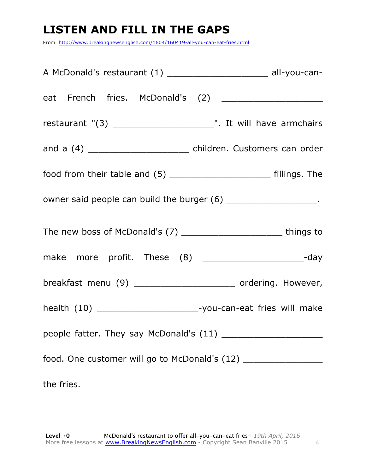### **LISTEN AND FILL IN THE GAPS**

From http://www.breakingnewsenglish.com/1604/160419-all-you-can-eat-fries.html

| A McDonald's restaurant (1) _________________________ all-you-can-               |
|----------------------------------------------------------------------------------|
|                                                                                  |
|                                                                                  |
| and a (4) ___________________________ children. Customers can order              |
|                                                                                  |
| owner said people can build the burger (6) _____________________.                |
| The new boss of McDonald's (7) __________________________________ things to      |
| make more profit. These (8) _______________________-day                          |
| breakfast menu (9) ________________________ ordering. However,                   |
| health (10) _________________________-you-can-eat fries will make                |
|                                                                                  |
| food. One customer will go to McDonald's (12) __________________________________ |
| the fries.                                                                       |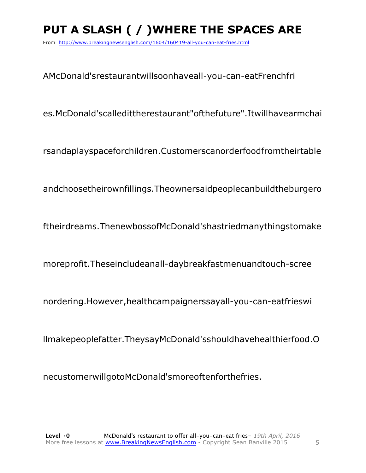# **PUT A SLASH ( / )WHERE THE SPACES ARE**

From http://www.breakingnewsenglish.com/1604/160419-all-you-can-eat-fries.html

AMcDonald'srestaurantwillsoonhaveall-you-can-eatFrenchfri

es.McDonald'scalledittherestaurant"ofthefuture".Itwillhavearmchai

rsandaplayspaceforchildren.Customerscanorderfoodfromtheirtable

andchoosetheirownfillings.Theownersaidpeoplecanbuildtheburgero

ftheirdreams.ThenewbossofMcDonald'shastriedmanythingstomake

moreprofit.Theseincludeanall-daybreakfastmenuandtouch-scree

nordering.However,healthcampaignerssayall-you-can-eatfrieswi

llmakepeoplefatter.TheysayMcDonald'sshouldhavehealthierfood.O

necustomerwillgotoMcDonald'smoreoftenforthefries.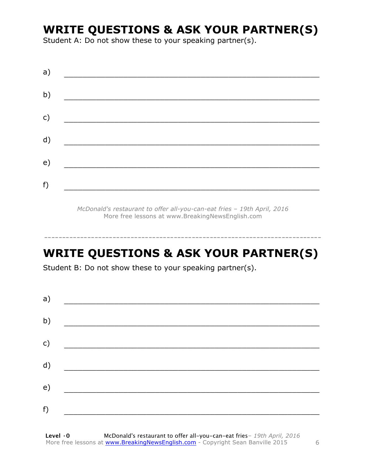### **WRITE QUESTIONS & ASK YOUR PARTNER(S)**

Student A: Do not show these to your speaking partner(s).

*McDonald's restaurant to offer all-you-can-eat fries – 19th April, 2016* More free lessons at www.BreakingNewsEnglish.com

# **WRITE QUESTIONS & ASK YOUR PARTNER(S)**

-----------------------------------------------------------------------------

Student B: Do not show these to your speaking partner(s).

| a) |  |  |
|----|--|--|
| b) |  |  |
| c) |  |  |
| d) |  |  |
| e) |  |  |
| f) |  |  |
|    |  |  |